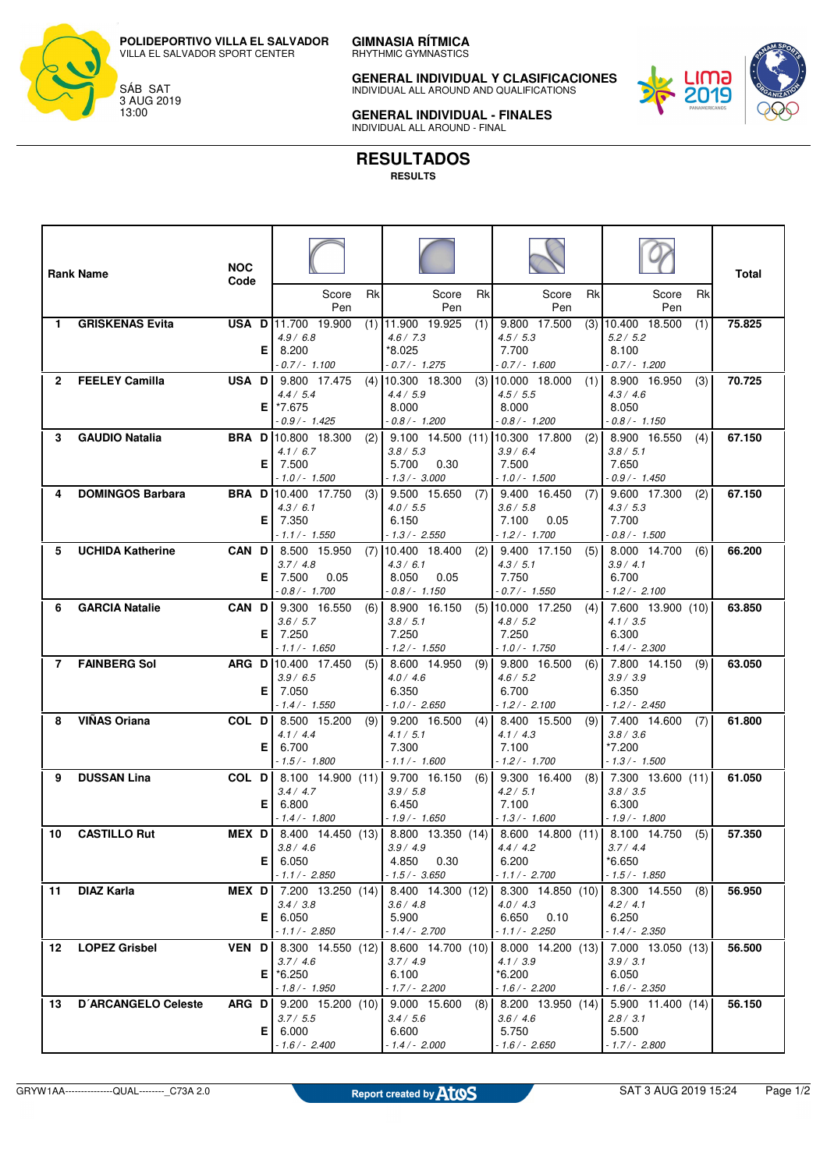

VILLA EL SALVADOR SPORT CENTER



SÁB SAT 3 AUG 2019 13:00

**GIMNASIA RÍTMICA** RHYTHMIC GYMNASTICS

**GENERAL INDIVIDUAL Y CLASIFICACIONES** INDIVIDUAL ALL AROUND AND QUALIFICATIONS



INDIVIDUAL ALL AROUND - FINAL

**GENERAL INDIVIDUAL - FINALES**

## **RESULTADOS**

**RESULTS**

|              | <b>Rank Name</b>        | <b>NOC</b><br>Code |    |                                         |     |                                      |     |                                      |     |                                        | <b>Total</b> |
|--------------|-------------------------|--------------------|----|-----------------------------------------|-----|--------------------------------------|-----|--------------------------------------|-----|----------------------------------------|--------------|
|              |                         |                    |    | Score<br>Pen                            | Rk  | Score<br>Pen                         | Rk  | Score<br>Pen                         | Rk  | Score<br>Rk<br>Pen                     |              |
| 1            | <b>GRISKENAS Evita</b>  |                    |    | <b>USA D</b> 11.700 19.900<br>4.9 / 6.8 | (1) | 11.900 19.925<br>4.6 / 7.3           | (1) | 9.800 17.500<br>4.5 / 5.3            | (3) | 10.400 18.500<br>(1)<br>5.2 / 5.2      | 75.825       |
|              |                         |                    | Е. | 8.200                                   |     | *8.025                               |     | 7.700                                |     | 8.100                                  |              |
| $\mathbf{2}$ | <b>FEELEY Camilla</b>   | USA D              |    | $0.7/- 1.100$<br>9.800 17.475           | (4) | $0.7/- 1.275$<br>10.300 18.300       | (3) | $0.7/- 1.600$<br>10.000 18.000       | (1) | $0.7/- 1.200$<br>8.900 16.950<br>(3)   | 70.725       |
|              |                         |                    |    | 4.4 / 5.4                               |     | 4.4 / 5.9                            |     | 4.5 / 5.5                            |     | 4.3 / 4.6                              |              |
|              |                         |                    | E. | *7.675<br>$0.9 - 1.425$                 |     | 8.000<br>$0.8/- 1.200$               |     | 8.000<br>$0.8/- 1.200$               |     | 8.050<br>$0.8/- 1.150$                 |              |
| 3            | <b>GAUDIO Natalia</b>   |                    |    | <b>BRA D</b> 10.800 18.300              | (2) | 9.100 14.500 (11) 10.300 17.800      |     |                                      | (2) | 8.900 16.550<br>(4)                    | 67.150       |
|              |                         |                    |    | 4.1 / 6.7                               |     | 3.8 / 5.3                            |     | 3.9 / 6.4                            |     | 3.8/5.1                                |              |
|              |                         |                    | Е. | 7.500<br>- 1.0 / - 1.500                |     | 5.700<br>0.30<br>$-1.3/-3.000$       |     | 7.500<br>- 1.0 / - 1.500             |     | 7.650<br>$0.9/- 1.450$                 |              |
| 4            | <b>DOMINGOS Barbara</b> |                    |    | <b>BRA D</b> 10.400 17.750              | (3) | 9.500 15.650                         | (7) | 9.400 16.450                         | (7) | 9.600 17.300<br>(2)                    | 67.150       |
|              |                         |                    | Е. | 4.3 / 6.1<br>7.350                      |     | 4.0 / 5.5<br>6.150                   |     | 3.6 / 5.8<br>7.100<br>0.05           |     | 4.3 / 5.3<br>7.700                     |              |
|              |                         |                    |    | $-1.1/- 1.550$                          |     | - 1.3 / - 2.550                      |     | $-1.2/- 1.700$                       |     | $0.8/-1.500$                           |              |
| 5            | <b>UCHIDA Katherine</b> | CAN D              |    | 8.500 15.950                            |     | $(7)$ 10.400 18.400                  | (2) | 9.400 17.150                         | (5) | 8.000 14.700<br>(6)                    | 66.200       |
|              |                         |                    | Е  | 3.7/4.8<br>7.500<br>0.05                |     | 4.3 / 6.1<br>8.050<br>0.05           |     | 4.3 / 5.1<br>7.750                   |     | 3.9 / 4.1<br>6.700                     |              |
|              |                         |                    |    | $0.8/- 1.700$                           |     | $0.8/- 1.150$                        |     | $0.7/- 1.550$                        |     | $-1.2/-2.100$                          |              |
| 6            | <b>GARCIA Natalie</b>   | CAN D              |    | 9.300 16.550                            | (6) | 8.900 16.150                         |     | $(5)$ 10.000 17.250                  | (4) | 7.600 13.900 (10)                      | 63.850       |
|              |                         |                    | Е  | 3.6 / 5.7<br>7.250                      |     | 3.8 / 5.1<br>7.250                   |     | 4.8 / 5.2<br>7.250                   |     | 4.1 / 3.5<br>6.300                     |              |
|              |                         |                    |    | $-1.1/- 1.650$                          |     | - 1.2 / - 1.550                      |     | $-1.0 - 1.750$                       |     | $-1.4/- 2.300$                         |              |
| 7            | <b>FAINBERG Sol</b>     |                    |    | ARG D 10.400 17.450<br>3.9 / 6.5        | (5) | 8.600 14.950<br>4.0 / 4.6            | (9) | 9.800 16.500<br>4.6 / 5.2            | (6) | 7.800 14.150<br>(9)<br>3.9 / 3.9       | 63.050       |
|              |                         |                    | Е. | 7.050                                   |     | 6.350                                |     | 6.700                                |     | 6.350                                  |              |
|              |                         |                    |    | $-1.4/- 1.550$                          |     | $-1.0/- 2.650$                       |     | $-1.2/-2.100$                        |     | $-1.2/-2.450$                          |              |
| 8            | VIÑAS Oriana            | COL D              |    | 8.500 15.200<br>4.1 / 4.4               | (9) | 9.200 16.500<br>4.1 / 5.1            | (4) | 8.400 15.500<br>4.1 / 4.3            | (9) | 7.400 14.600<br>(7)<br>3.8 / 3.6       | 61.800       |
|              |                         |                    | Е. | 6.700                                   |     | 7.300                                |     | 7.100                                |     | *7.200                                 |              |
| 9            | <b>DUSSAN Lina</b>      | COL D              |    | $-1.5/- 1.800$<br>8.100 14.900 (11)     |     | $-1.1/- 1.600$<br>9.700 16.150       |     | $-1.2/- 1.700$<br>9.300 16.400       | (8) | $-1.3/- 1.500$<br>7.300 13.600 (11)    | 61.050       |
|              |                         |                    |    | 3.4 / 4.7                               |     | 3.9 / 5.8                            | (6) | 4.2 / 5.1                            |     | 3.8 / 3.5                              |              |
|              |                         |                    | Е  | 6.800                                   |     | 6.450                                |     | 7.100                                |     | 6.300                                  |              |
| 10           | <b>CASTILLO Rut</b>     | <b>MEX D</b>       |    | - 1.4 / - 1.800<br>8.400 14.450 (13)    |     | - 1.9 / - 1.650<br>8.800 13.350 (14) |     | - 1.3 / - 1.600<br>8.600 14.800 (11) |     | - 1.9 / - 1.800<br>8.100 14.750<br>(5) | 57.350       |
|              |                         |                    |    | 3.8 / 4.6                               |     | 3.9 / 4.9                            |     | 4.4 / 4.2                            |     | 3.7 / 4.4                              |              |
|              |                         |                    |    | $E$ 6.050<br>$-1.1/- 2.850$             |     | 4.850 0.30<br>$-1.5/-3.650$          |     | 6.200<br>- 1.1 / - 2.700             |     | $*6.650$<br>- 1.5 / - 1.850            |              |
| 11           | <b>DIAZ Karla</b>       |                    |    | <b>MEX D</b> 7.200 13.250 (14)          |     | 8.400 14.300 (12)                    |     | 8.300 14.850 (10)                    |     | 8.300 14.550<br>(8)                    | 56.950       |
|              |                         |                    |    | 3.4 / 3.8                               |     | 3.6 / 4.8                            |     | 4.0 / 4.3                            |     | 4.2 / 4.1                              |              |
|              |                         |                    | ΕI | 6.050<br>$-1.1/- 2.850$                 |     | 5.900<br>$-1.4/- 2.700$              |     | 6.650 0.10<br>$-1.1/- 2.250$         |     | 6.250<br>$-1.4/- 2.350$                |              |
| 12           | <b>LOPEZ Grisbel</b>    | VEN D              |    | 8.300 14.550 (12)                       |     | 8.600 14.700 (10)                    |     | 8.000 14.200 (13)                    |     | 7.000 13.050 (13)                      | 56.500       |
|              |                         |                    |    | 3.7 / 4.6                               |     | 3.7 / 4.9                            |     | 4.1 / 3.9                            |     | 3.9 / 3.1                              |              |
|              |                         |                    | ΕI | $*6.250$<br>- 1.8 / - 1.950             |     | 6.100<br>$-1.7/- 2.200$              |     | *6.200<br>- 1.6 / - 2.200            |     | 6.050<br>$-1.6/- 2.350$                |              |
| 13           | D'ARCANGELO Celeste     | ARG DI             |    | 9.200 15.200 (10)                       |     | 9.000 15.600                         | (8) | 8.200 13.950 (14)                    |     | 5.900 11.400 (14)                      | 56.150       |
|              |                         |                    | Е. | 3.7/5.5<br>6.000                        |     | 3.4 / 5.6<br>6.600                   |     | 3.6 / 4.6<br>5.750                   |     | 2.8 / 3.1<br>5.500                     |              |
|              |                         |                    |    | $-1.6/- 2.400$                          |     | $-1.4/- 2.000$                       |     | - 1.6 / - 2.650                      |     | $-1.7/- 2.800$                         |              |